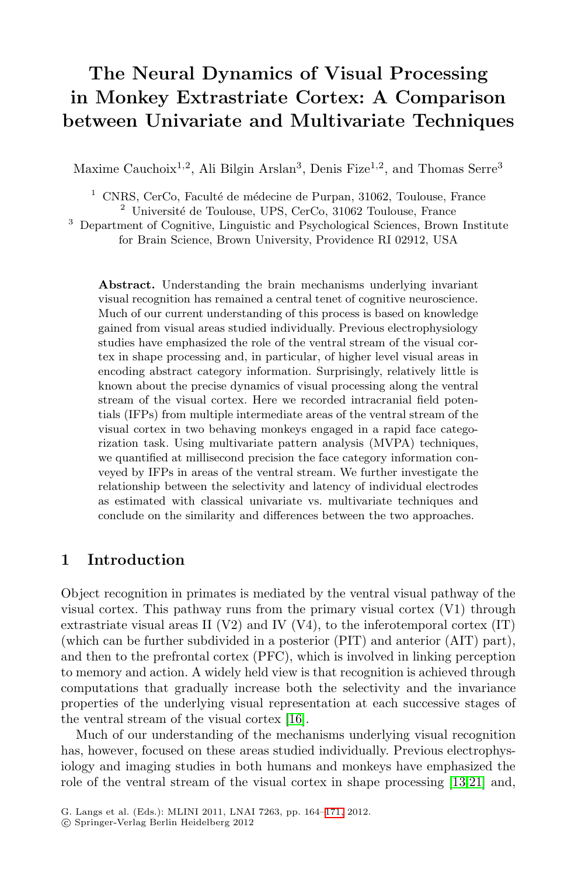# **The Neural Dynamics of Visual Processing in Monkey Extrastriate Cortex: A Comparison between Univariate and Multivariate Techniques**

Maxime Cauchoix<sup>1,2</sup>, Ali Bilgin Arslan<sup>3</sup>, Denis Fize<sup>1,2</sup>, and Thomas Serre<sup>3</sup>

 $1$  CNRS, CerCo, Faculté de médecine de Purpan, 31062, Toulouse, France

 $2$  Université de Toulouse, UPS, CerCo, 31062 Toulouse, France

<sup>3</sup> Department of Cognitive, Linguistic and Psychological Sciences, Brown Institute for Brain Science, Brown University, Providence RI 02912, USA

**Abstract.** Understanding the brain mechanisms underlying invariant visual recognition has remained a central tenet of cognitive neuroscience. Much of our current understanding of this process is based on knowledge gained from visual areas studied individually. Previous electrophysiology studies have emphasized the role of the ventral stream of the visual cortex in shape processing and, in particular, of higher level visual areas in encoding abstract category information. Surprisingly, relatively little is known about the precise dynamics of visual processing along the ventral stream of the visual cortex. Here we recorded intracranial field potentials (IFPs) from multiple intermediate areas of the ventral stream of the visual cortex in two behaving monkeys engaged in a rapid face categorization task. Using multivariate pattern analysis (MVPA) techniques, we quantified at millisecond precision the face category information conveyed by IFPs in areas of the ventral stream. We further investigate the relationship between the selectivity and latency of individual electrodes as estimated with classical univariate vs. multivariate techniques and conclude on the similarity and differences between the two approaches.

### **1 Introduction**

Object recognition in [pri](#page-7-0)mates is mediated by the ventral visual pathway of the visual cortex. This pathway runs from the primary visual cortex (V1) through extrastriate visual areas II (V2) and IV (V4), to the inferotemporal cortex  $(IT)$ (which can be further subdivided in a posterior (PIT) and anterior (AIT) part), and then to the prefrontal cortex (PFC), which is [inv](#page-7-1)[olve](#page-7-2)d in linking perception to memory and action. A widely held view is that recognition is achieved through computations that graduall[y in](#page-7-3)crease both the selectivity and the invariance properties of the underlying visual representation at each successive stages of the ventral stream of the visual cortex [16].

Much of our understanding of the mechanisms underlying visual recognition has, however, focused on these areas studied individually. Previous electrophysiology and imaging studies in both humans and monkeys have emphasized the role of the ventral stream of the visual cortex in shape processing [13,21] and,

G. Langs et al. (Eds.): MLINI 2011, LNAI 7263, pp. 164–171, 2012.

<sup>-</sup>c Springer-Verlag Berlin Heidelberg 2012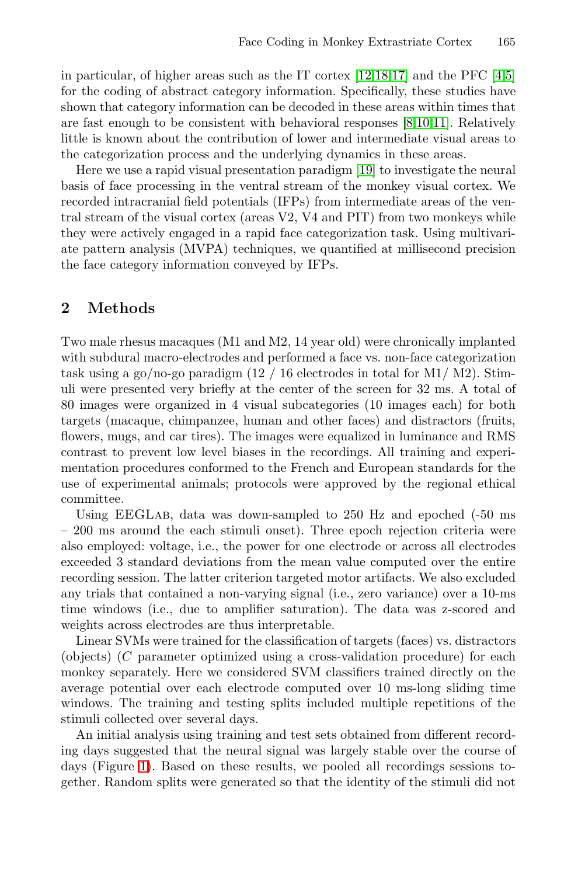in particular, of higher areas such as the IT cortex  $[12,18,17]$  and the PFC  $[4,5]$ for the coding of abstract category information. Specifically, these studies have shown that category information can be decoded in these areas within times that are fast enough to be consistent with behavioral responses [8,10,11]. Relatively little is known about the contribution of lower and intermediate visual areas to the categorization process and the underlying dynamics in these areas.

Here we use a rapid visual presentation paradigm [19] to investigate the neural basis of face processing in the ventral stream of the monkey visual cortex. We recorded intracranial field potentials (IFPs) from intermediate areas of the ventral stream of the visual cortex (areas V2, V4 and PIT) from two monkeys while they were actively engaged in a rapid face categorization task. Using multivariate pattern analysis (MVPA) techniques, we quantified at millisecond precision the face category information conveyed by IFPs.

# **2 Methods**

Two male rhesus macaques (M1 and M2, 14 year old) were chronically implanted with subdural macro-electrodes and performed a face vs. non-face categorization task using a go/no-go paradigm  $(12 / 16$  electrodes in total for M1/M2). Stimuli were presented very briefly at the center of the screen for 32 ms. A total of 80 images were organized in 4 visual subcategories (10 images each) for both targets (macaque, chimpanzee, human and other faces) and distractors (fruits, flowers, mugs, and car tires). The images were equalized in luminance and RMS contrast to prevent low level biases in the recordings. All training and experimentation procedures conformed to the French and European standards for the use of experimental animals; protocols were approved by the regional ethical committee.

Using EEGLab, data was down-sampled to 250 Hz and epoched (-50 ms – 200 ms around the each stimuli onset). Three epoch rejection criteria were also employed: voltage, i.e., the power for one electrode or across all electrodes exceeded 3 standard deviations from the mean value computed over the entire recording session. The latter criterion targeted motor artifacts. We also excluded any trials that contained a non-varying signal (i.e., zero variance) over a 10-ms time windows (i.e., due to amplifier saturation). The data was z-scored and weights across electrodes are thus interpretable.

Linear SVMs were trained for the classification of targets (faces) vs. distractors (objects) (*C* parameter optimized using a cross-validation procedure) for each monkey separately. Here we considered SVM classifiers trained directly on the average potential over each electrode computed over 10 ms-long sliding time windows. The training and testing splits included multiple repetitions of the stimuli collected over several days.

An initial analysis using training and test sets obtained from different recording days suggested that the neural signal was largely stable over the course of days (Figure 1). Based on these results, we pooled all recordings sessions together. Random splits were generated so that the identity of the stimuli did not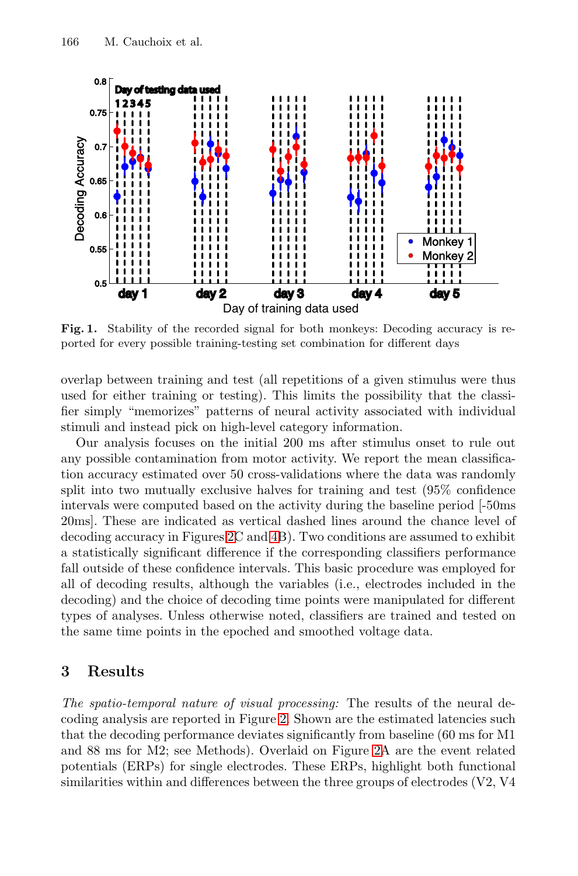166 M. Cauchoix et al.



**Fig. 1.** Stability of the recorded signal for both monkeys: Decoding accuracy is reported for every possible training-testing set combination for different days

overlap between training and test (all repetitions of a given stimulus were thus used for either training or testing). This limits the possibility that the classifier simply ["](#page-3-0)mem[ori](#page-5-0)zes" patterns of neural activity associated with individual stimuli and instead pick on high-level category information.

Our analysis focuses on the initial 200 ms after stimulus onset to rule out any possible contamination from motor activity. We report the mean classification accuracy estimated over 50 cross-validations where the data was randomly split into two mutually exclusive halves for training and test (95% confidence intervals were computed based on the activity during the baseline period [-50ms 20ms]. These are indicated as vertical dashed lines around the chance level of decoding accuracy in Figures 2C and 4B). Two conditions are assumed to exhibit a statistically significant difference if the corresponding classifiers performance fall outside of these confidence intervals. This basic procedure was employed for all of decoding results, although the variables (i.e., electrodes included in the decoding) and the c[ho](#page-3-0)ice of decoding time points were manipulated for different types of analyses. Unless otherwise noted, classifiers are trained and tested on the same time points in the epoched [a](#page-3-0)nd smoothed voltage data.

### **3 Results**

*The spatio-temporal nature of visual processing:* The results of the neural decoding analysis are reported in Figure 2. Shown are the estimated latencies such that the decoding performance deviates significantly from baseline (60 ms for M1 and 88 ms for M2; see Methods). Overlaid on Figure 2A are the event related potentials (ERPs) for single electrodes. These ERPs, highlight both functional similarities within and differences between the three groups of electrodes (V2, V4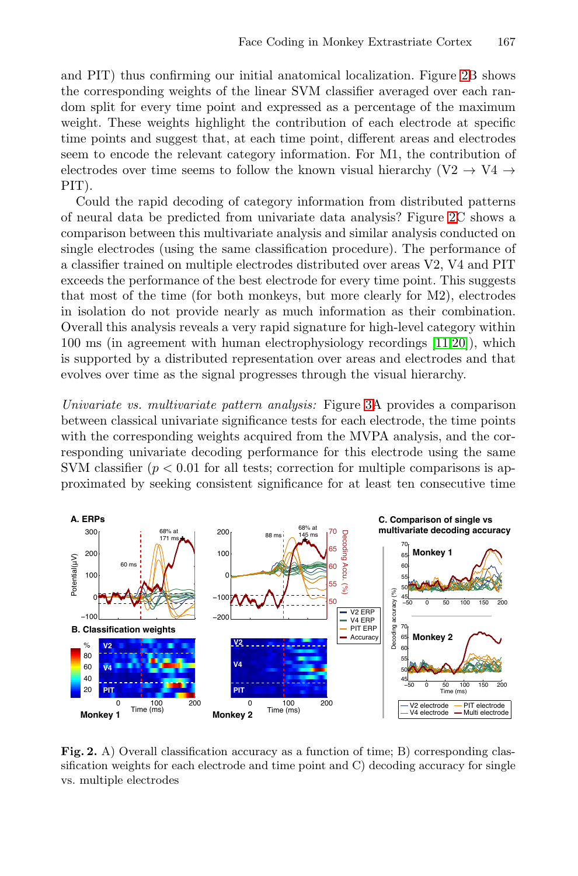and PIT) thus confirming our initial anatomical localization. Figure 2B shows the corresponding weights of the linear SVM classifier averaged over each random split for every time point and expressed as a percentage of the maximum weight. These weights highlight the contribution of each electrode at specific time points and suggest that, at each time point, different areas and electrodes seem to encode the relevant category information. For M1, the contribution of electrodes over time seems to follow the known visual hierarchy (V2  $\rightarrow$  V4  $\rightarrow$ PIT).

Could the rapid decoding of category information from distributed patterns of neural data be predicted from univariate data analysis? Figure 2C shows a comparison between this multivariate analysis and similar analysis conducted on single electrodes (using the same classification procedure). The performance of a classifier trained on multiple electrodes distributed over areas V2, V4 and PIT exceeds the performance of the best electrode for every time point. This suggests that most of the time (for both monkeys, but more clearly for M2), electrodes in isolation do not provide nearly as much information as their combination. Overall this analysis reveals a very rapid signature for high-level category within 100 ms (in agreement with human electrophysiology recordings  $[11,20]$ ), which is supported by a distributed representation over areas and electrodes and that evolves over time as the signal progresses through the visual hierarchy.

Univariate vs. multivariate pattern analysis: Figure 3A provides a comparison between classical univariate significance tests for each electrode, the time points with the corresponding weights acquired from the MVPA analysis, and the corresponding univariate decoding performance for this electrode using the same SVM classifier  $(p < 0.01$  for all tests; correction for multiple comparisons is approximated by seeking consistent significance for at least ten consecutive time

<span id="page-3-0"></span>

Fig. 2. A) Overall classification accuracy as a function of time; B) corresponding classification weights for each electrode and time point and C) decoding accuracy for single vs. multiple electrodes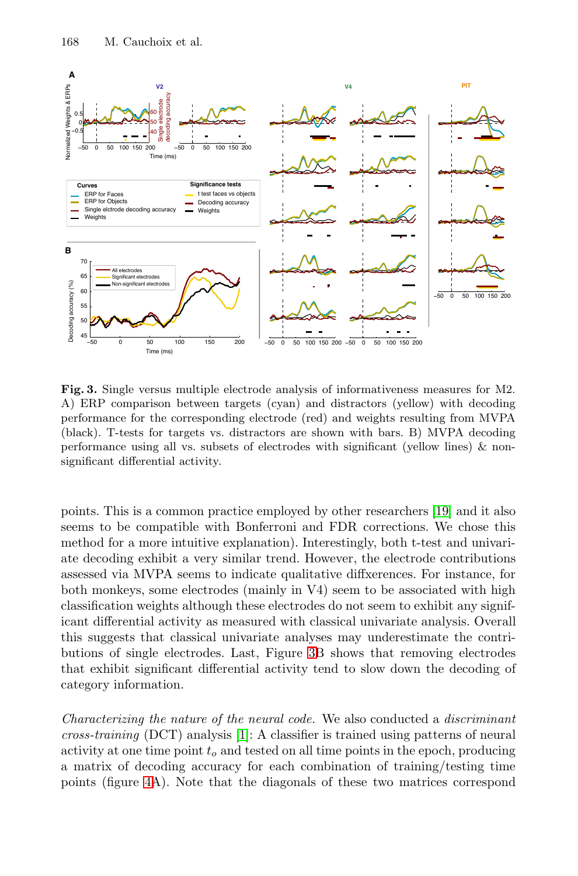#### 168 M. Cauchoix et al.

<span id="page-4-0"></span>

Fig. 3. Single versus multiple electrode analysis of informativeness measures for M2. A) ERP comparison between targets (cyan) and distractors (yellow) with decoding performance for the corresponding electrode (red) and weights resulting from MVPA (black). T-tests for targets vs. distractors are shown with bars. B) MVPA decoding performance using all vs. subsets of electrodes with significant (yellow lines)  $\&$  nonsignificant differential activity.

points. This is a common practice employed by other researchers [19] and it also seems to be compatible with Bonferroni and FDR corrections. We chose this method for a more intuitive explanation). Interestingly, both t-test and univariate decoding exhibit a very similar trend. However, the electrode contributions assessed via MVPA seems to indicate qualitative diffxerences. For instance, for both monkeys, some electrodes (mainly in V4) seem to be associated with high classification weights although these electrodes do not seem to exhibit any significant differential activity as measured with classical univariate analysis. Overall this suggests that classical univariate analyses may underestimate the contributions of single electrodes. Last, Figure 3B shows that removing electrodes that exhibit significant differential activity tend to slow down the decoding of category information.

Characterizing the nature of the neural code. We also conducted a discriminant  $cross\text{-}training$  (DCT) analysis [1]: A classifier is trained using patterns of neural activity at one time point  $t_o$  and tested on all time points in the epoch, producing a matrix of decoding accuracy for each combination of training/testing time points (figure 4A). Note that the diagonals of these two matrices correspond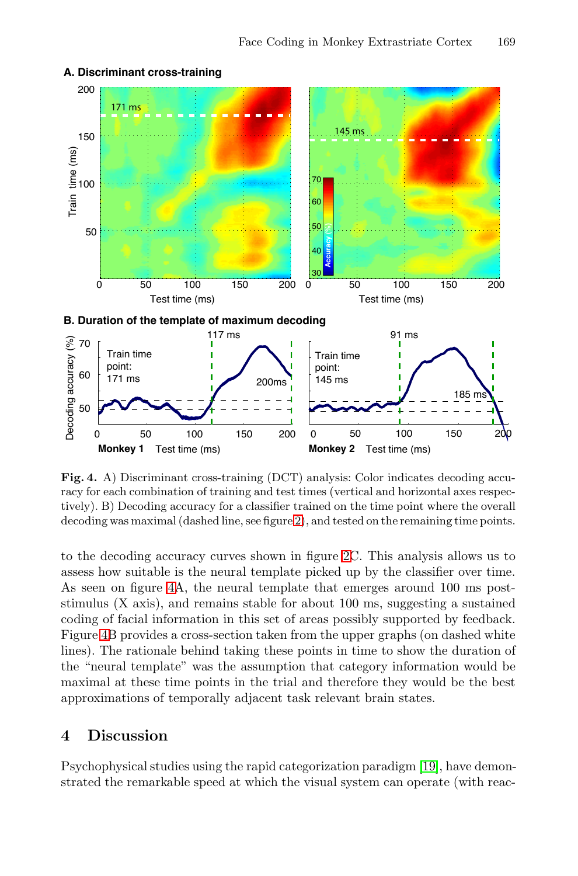<span id="page-5-0"></span>

### **A. Discriminant cross-training**

Fig. 4. A) Discriminant cross-training (DCT) analysis: Color indicates decoding accuracy for each combination of training and test times (vertical and horizontal axes respectively). B) Decoding accuracy for a classifier trained on the time point where the overall decoding was maximal (dashed line, see figure 2), and tested on the remaining time points.

to the decoding accuracy curves shown in figure 2C. This analysis allows us to assess how suitable is the neural template picked up by the classifier over time. As seen on figure 4A, the neural template that emerges around 100 ms poststimulus (X axis), and remains stable for about 100 ms, suggesting a sustained coding of facial information in this set of areas possibly supported by feedback. Figure 4B provides a cross-section taken from the upper graphs (on dashed white lines). The rationale behind taking these poi[nts](#page-7-4) in time to show the duration of the "neural template" was the assumption that category information would be maximal at these time points in the trial and therefore they would be the best approximations of temporally adjacent task relevant brain states.

## **4 Discussion**

Psychophysical studies using the rapid categorization paradigm [19], have demonstrated the remarkable speed at which the visual system can operate (with reac-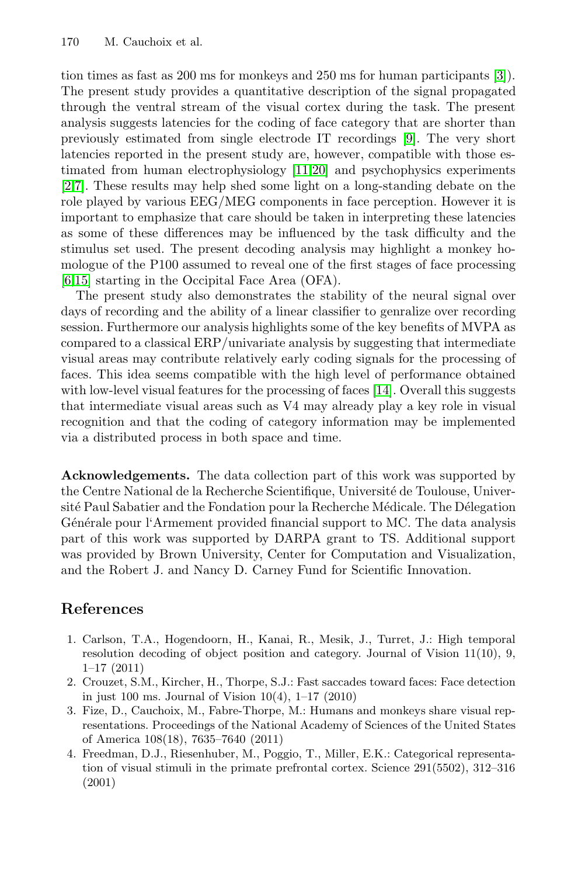### 170 M. Cauchoix et [al.](#page-7-5)

tion times as fast as 200 ms for monkeys and 250 ms for human participants [3]). The present study provides a quantitative description of the signal propagated through the ventral stream of the visual cortex during the task. The present analysis suggests latencies for the coding of face category that are shorter than previously estimated from single electrode IT recordings [9]. The very short latencies reported in the present study are, however, compatible with those estimated from human electrophysiology [11,20] and psychophysics experiments [2,7]. These results may help shed some light on a long-standing debate on the role played by various EEG/MEG components in face perception. However it is important to emphasize that care should be taken in interpreting these latencies as some of these differences may be influenced by the task difficulty and the stimulus set used. The present decoding analysis may highlight a monkey homologue of the P100 assumed to rev[eal](#page-7-7) one of the first stages of face processing [6,15] starting in the Occipital Face Area (OFA).

The present study also demonstrates the stability of the neural signal over days of recording and the ability of a linear classifier to genralize over recording session. Furthermore our analysis highlights some of the key benefits of MVPA as compared to a classical ERP/univariate analysis by suggesting that intermediate visual areas may contribute relatively early coding signals for the processing of faces. This idea seems compatible with the high level of performance obtained with low-level visual features for the processing of faces [14]. Overall this suggests that intermediate visual areas such as V4 may already play a key role in visual recognition and that the coding of category information may be implemented via a distributed process in both space and time.

<span id="page-6-0"></span>**Acknowledgements.** The data collection part of this work was supported by the Centre National de la Recherche Scientifique, Université de Toulouse, Université Paul Sabatier and the Fondation pour la Recherche Médicale. The Délegation Générale pour l'Armement provided financial support to MC. The data analysis part of this work was supported by DARPA grant to TS. Additional support was provided by Brown University, Center for Computation and Visualization, and the Robert J. and Nancy D. Carney Fund for Scientific Innovation.

### **References**

- 1. Carlson, T.A., Hogendoorn, H., Kanai, R., Mesik, J., Turret, J.: High temporal resolution decoding of object position and category. Journal of Vision 11(10), 9, 1–17 (2011)
- 2. Crouzet, S.M., Kircher, H., Thorpe, S.J.: Fast saccades toward faces: Face detection in just 100 ms. Journal of Vision  $10(4)$ ,  $1-17(2010)$
- 3. Fize, D., Cauchoix, M., Fabre-Thorpe, M.: Humans and monkeys share visual representations. Proceedings of the National Academy of Sciences of the United States of America 108(18), 7635–7640 (2011)
- 4. Freedman, D.J., Riesenhuber, M., Poggio, T., Miller, E.K.: Categorical representation of visual stimuli in the primate prefrontal cortex. Science 291(5502), 312–316 (2001)